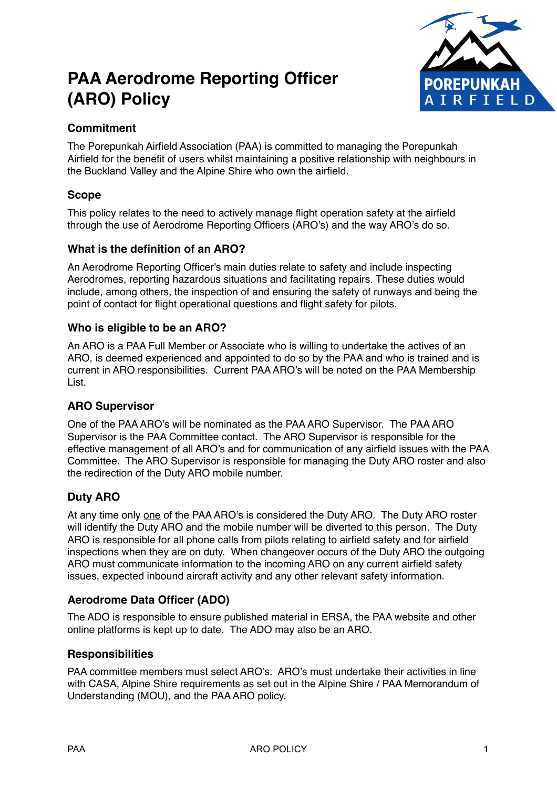# **PAA Aerodrome Reporting Officer (ARO) Policy**



## **Commitment**

The Porepunkah Airfield Association (PAA) is committed to managing the Porepunkah Airfield for the benefit of users whilst maintaining a positive relationship with neighbours in the Buckland Valley and the Alpine Shire who own the airfield.

## **Scope**

This policy relates to the need to actively manage flight operation safety at the airfield through the use of Aerodrome Reporting Officers (ARO's) and the way ARO's do so.

#### **What is the definition of an ARO?**

An Aerodrome Reporting Officer's main duties relate to safety and include inspecting Aerodromes, reporting hazardous situations and facilitating repairs. These duties would include, among others, the inspection of and ensuring the safety of runways and being the point of contact for flight operational questions and flight safety for pilots.

#### **Who is eligible to be an ARO?**

An ARO is a PAA Full Member or Associate who is willing to undertake the actives of an ARO, is deemed experienced and appointed to do so by the PAA and who is trained and is current in ARO responsibilities. Current PAA ARO's will be noted on the PAA Membership List.

## **ARO Supervisor**

One of the PAA ARO's will be nominated as the PAA ARO Supervisor. The PAA ARO Supervisor is the PAA Committee contact. The ARO Supervisor is responsible for the effective management of all ARO's and for communication of any airfield issues with the PAA Committee. The ARO Supervisor is responsible for managing the Duty ARO roster and also the redirection of the Duty ARO mobile number.

## **Duty ARO**

At any time only one of the PAA ARO's is considered the Duty ARO. The Duty ARO roster will identify the Duty ARO and the mobile number will be diverted to this person. The Duty ARO is responsible for all phone calls from pilots relating to airfield safety and for airfield inspections when they are on duty. When changeover occurs of the Duty ARO the outgoing ARO must communicate information to the incoming ARO on any current airfield safety issues, expected inbound aircraft activity and any other relevant safety information.

## **Aerodrome Data Officer (ADO)**

The ADO is responsible to ensure published material in ERSA, the PAA website and other online platforms is kept up to date. The ADO may also be an ARO.

#### **Responsibilities**

PAA committee members must select ARO's. ARO's must undertake their activities in line with CASA, Alpine Shire requirements as set out in the Alpine Shire / PAA Memorandum of Understanding (MOU), and the PAA ARO policy.